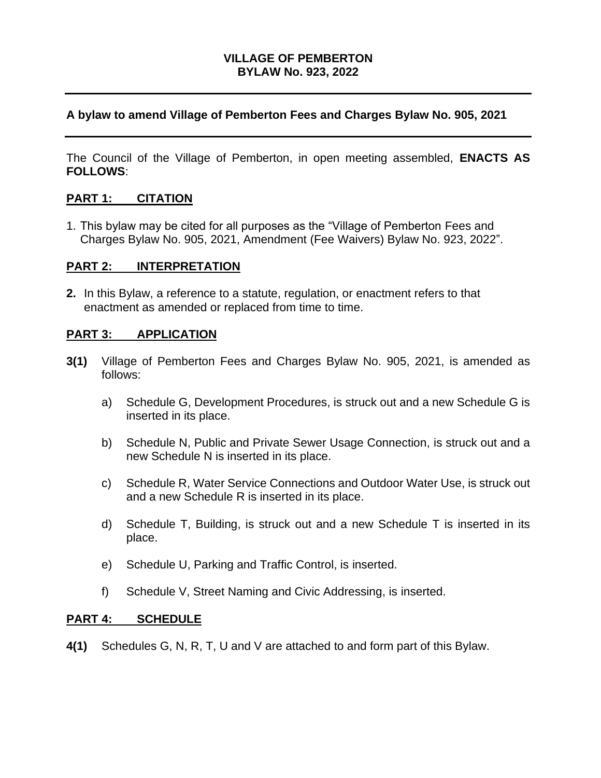## **VILLAGE OF PEMBERTON BYLAW No. 923, 2022**

## **A bylaw to amend Village of Pemberton Fees and Charges Bylaw No. 905, 2021**

The Council of the Village of Pemberton, in open meeting assembled, **ENACTS AS FOLLOWS**:

## **PART 1: CITATION**

1. This bylaw may be cited for all purposes as the "Village of Pemberton Fees and Charges Bylaw No. 905, 2021, Amendment (Fee Waivers) Bylaw No. 923, 2022".

## **PART 2: INTERPRETATION**

**2.** In this Bylaw, a reference to a statute, regulation, or enactment refers to that enactment as amended or replaced from time to time.

## **PART 3: APPLICATION**

- **3(1)** Village of Pemberton Fees and Charges Bylaw No. 905, 2021, is amended as follows:
	- a) Schedule G, Development Procedures, is struck out and a new Schedule G is inserted in its place.
	- b) Schedule N, Public and Private Sewer Usage Connection, is struck out and a new Schedule N is inserted in its place.
	- c) Schedule R, Water Service Connections and Outdoor Water Use, is struck out and a new Schedule R is inserted in its place.
	- d) Schedule T, Building, is struck out and a new Schedule T is inserted in its place.
	- e) Schedule U, Parking and Traffic Control, is inserted.
	- f) Schedule V, Street Naming and Civic Addressing, is inserted.

#### **PART 4: SCHEDULE**

**4(1)** Schedules G, N, R, T, U and V are attached to and form part of this Bylaw.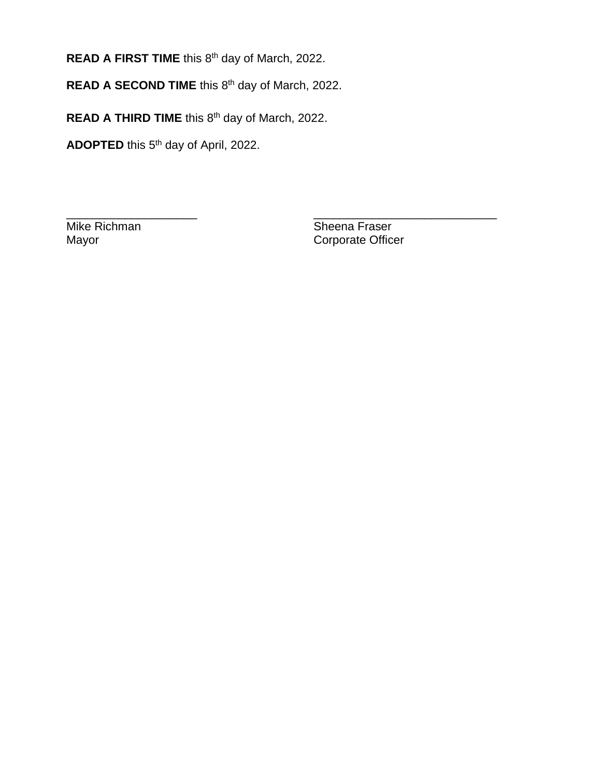**READ A FIRST TIME** this 8<sup>th</sup> day of March, 2022.

**READ A SECOND TIME** this 8<sup>th</sup> day of March, 2022.

**READ A THIRD TIME** this 8<sup>th</sup> day of March, 2022.

**ADOPTED** this 5 th day of April, 2022.

Mike Richman Sheena Fraser<br>
Mayor Corporate Office Corporate Officer

\_\_\_\_\_\_\_\_\_\_\_\_\_\_\_\_\_\_\_\_ \_\_\_\_\_\_\_\_\_\_\_\_\_\_\_\_\_\_\_\_\_\_\_\_\_\_\_\_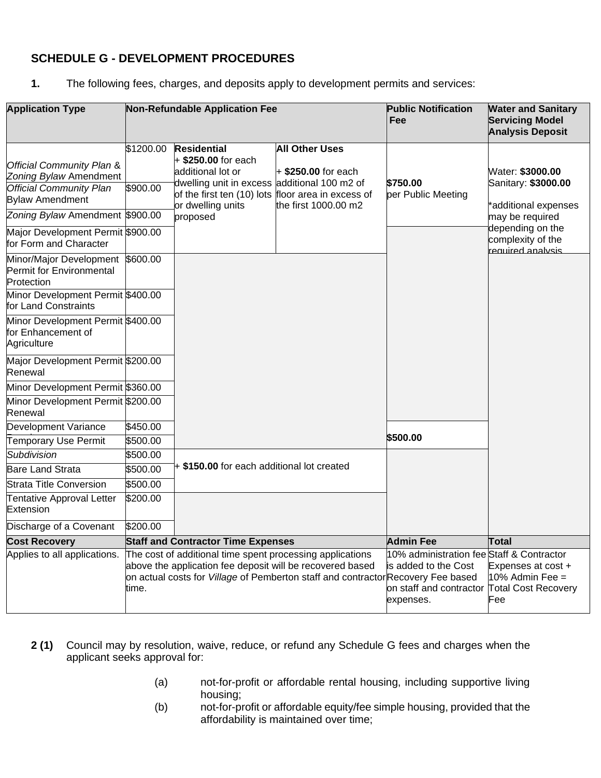# **SCHEDULE G - DEVELOPMENT PROCEDURES**

**1.** The following fees, charges, and deposits apply to development permits and services:

| <b>Application Type</b>                                                                                                                                                                                                      |                       | <b>Non-Refundable Application Fee</b>                                                                                                                                                                 |                                                                                  | <b>Public Notification</b><br>Fee                                                                         | <b>Water and Sanitary</b><br><b>Servicing Model</b><br><b>Analysis Deposit</b>                                                                   |
|------------------------------------------------------------------------------------------------------------------------------------------------------------------------------------------------------------------------------|-----------------------|-------------------------------------------------------------------------------------------------------------------------------------------------------------------------------------------------------|----------------------------------------------------------------------------------|-----------------------------------------------------------------------------------------------------------|--------------------------------------------------------------------------------------------------------------------------------------------------|
| <b>Official Community Plan &amp;</b><br>Zoning Bylaw Amendment<br><b>Official Community Plan</b><br><b>Bylaw Amendment</b><br>Zoning Bylaw Amendment \$900.00<br>Major Development Permit \$900.00<br>for Form and Character | \$1200.00<br>\$900.00 | <b>Residential</b><br>+ \$250.00 for each<br>additional lot or<br>dwelling unit in excess additional 100 m2 of<br>of the first ten (10) lots floor area in excess of<br>or dwelling units<br>proposed | <b>All Other Uses</b><br>$+$ \$250.00 for each<br>the first 1000.00 m2           | \$750.00<br>per Public Meeting                                                                            | Water: \$3000.00<br>Sanitary: \$3000.00<br>*additional expenses<br>may be required<br>depending on the<br>complexity of the<br>required analysis |
| Minor/Major Development \$600.00<br>Permit for Environmental<br>Protection                                                                                                                                                   |                       |                                                                                                                                                                                                       |                                                                                  |                                                                                                           |                                                                                                                                                  |
| Minor Development Permit \$400.00<br>for Land Constraints                                                                                                                                                                    |                       |                                                                                                                                                                                                       |                                                                                  |                                                                                                           |                                                                                                                                                  |
| Minor Development Permit \$400.00<br>for Enhancement of<br>Agriculture                                                                                                                                                       |                       |                                                                                                                                                                                                       |                                                                                  |                                                                                                           |                                                                                                                                                  |
| Major Development Permit \$200.00<br>Renewal                                                                                                                                                                                 |                       |                                                                                                                                                                                                       |                                                                                  |                                                                                                           |                                                                                                                                                  |
| Minor Development Permit \$360.00                                                                                                                                                                                            |                       |                                                                                                                                                                                                       |                                                                                  |                                                                                                           |                                                                                                                                                  |
| Minor Development Permit \$200.00<br>Renewal                                                                                                                                                                                 |                       |                                                                                                                                                                                                       |                                                                                  |                                                                                                           |                                                                                                                                                  |
| Development Variance                                                                                                                                                                                                         | \$450.00              |                                                                                                                                                                                                       |                                                                                  |                                                                                                           |                                                                                                                                                  |
| Temporary Use Permit                                                                                                                                                                                                         | \$500.00              |                                                                                                                                                                                                       |                                                                                  | \$500.00                                                                                                  |                                                                                                                                                  |
| Subdivision                                                                                                                                                                                                                  | \$500.00              |                                                                                                                                                                                                       |                                                                                  |                                                                                                           |                                                                                                                                                  |
| <b>Bare Land Strata</b>                                                                                                                                                                                                      | \$500.00              |                                                                                                                                                                                                       | + \$150.00 for each additional lot created                                       |                                                                                                           |                                                                                                                                                  |
| <b>Strata Title Conversion</b>                                                                                                                                                                                               | \$500.00              |                                                                                                                                                                                                       |                                                                                  |                                                                                                           |                                                                                                                                                  |
| Tentative Approval Letter<br>Extension                                                                                                                                                                                       | \$200.00              |                                                                                                                                                                                                       |                                                                                  |                                                                                                           |                                                                                                                                                  |
| Discharge of a Covenant                                                                                                                                                                                                      | \$200.00              |                                                                                                                                                                                                       |                                                                                  |                                                                                                           |                                                                                                                                                  |
| <b>Cost Recovery</b>                                                                                                                                                                                                         |                       | <b>Staff and Contractor Time Expenses</b>                                                                                                                                                             |                                                                                  | <b>Admin Fee</b>                                                                                          | <b>Total</b>                                                                                                                                     |
| Applies to all applications.                                                                                                                                                                                                 | time.                 | The cost of additional time spent processing applications<br>above the application fee deposit will be recovered based                                                                                | on actual costs for Village of Pemberton staff and contractor Recovery Fee based | 10% administration fee Staff & Contractor<br>is added to the Cost<br>on staff and contractor<br>expenses. | Expenses at cost +<br>10% Admin Fee =<br><b>Total Cost Recovery</b><br>Fee                                                                       |

- **2 (1)** Council may by resolution, waive, reduce, or refund any Schedule G fees and charges when the applicant seeks approval for:
	- (a) not-for-profit or affordable rental housing, including supportive living housing;
	- (b) not-for-profit or affordable equity/fee simple housing, provided that the affordability is maintained over time;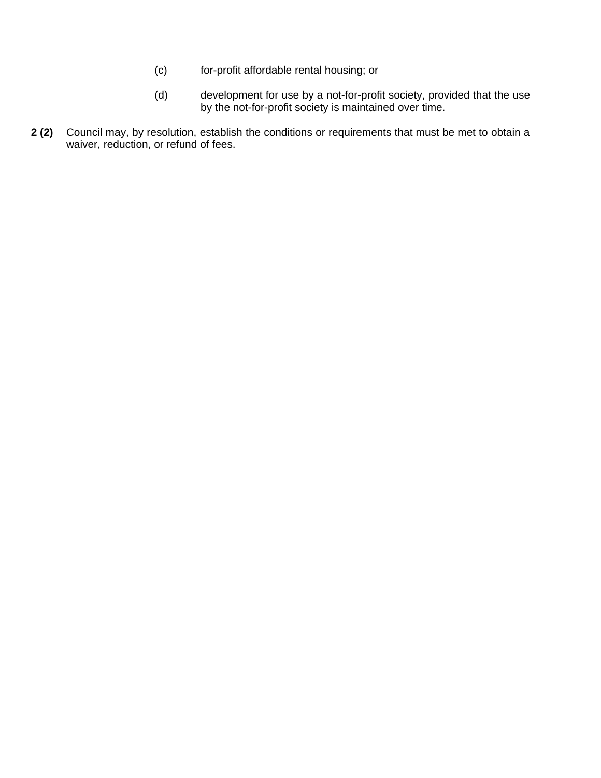- (c) for-profit affordable rental housing; or
- (d) development for use by a not-for-profit society, provided that the use by the not-for-profit society is maintained over time.
- **2 (2)** Council may, by resolution, establish the conditions or requirements that must be met to obtain a waiver, reduction, or refund of fees.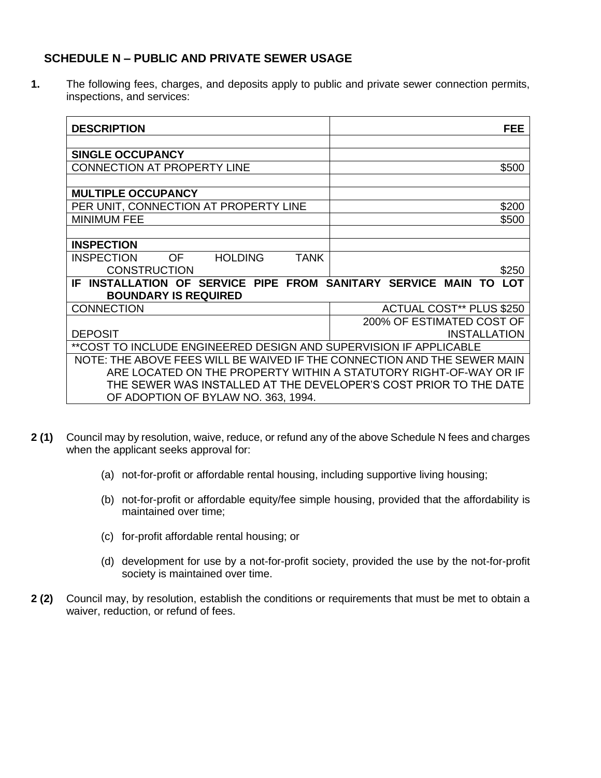# **SCHEDULE N – PUBLIC AND PRIVATE SEWER USAGE**

**1.** The following fees, charges, and deposits apply to public and private sewer connection permits, inspections, and services:

| <b>DESCRIPTION</b>                                                       | <b>FEE</b>                      |
|--------------------------------------------------------------------------|---------------------------------|
|                                                                          |                                 |
| <b>SINGLE OCCUPANCY</b>                                                  |                                 |
| <b>CONNECTION AT PROPERTY LINE</b>                                       | \$500                           |
|                                                                          |                                 |
| <b>MULTIPLE OCCUPANCY</b>                                                |                                 |
| PER UNIT, CONNECTION AT PROPERTY LINE                                    | \$200                           |
| <b>MINIMUM FEE</b>                                                       | \$500                           |
|                                                                          |                                 |
| <b>INSPECTION</b>                                                        |                                 |
| <b>HOLDING</b><br><b>TANK</b><br><b>INSPECTION</b><br>OF                 |                                 |
| <b>CONSTRUCTION</b>                                                      | \$250                           |
| IF INSTALLATION OF SERVICE PIPE FROM SANITARY SERVICE MAIN TO            | <b>LOT</b>                      |
| <b>BOUNDARY IS REQUIRED</b>                                              |                                 |
| <b>CONNECTION</b>                                                        | <b>ACTUAL COST** PLUS \$250</b> |
|                                                                          | 200% OF ESTIMATED COST OF       |
| <b>DEPOSIT</b>                                                           | <b>INSTALLATION</b>             |
| **COST TO INCLUDE ENGINEERED DESIGN AND SUPERVISION IF APPLICABLE        |                                 |
| NOTE: THE ABOVE FEES WILL BE WAIVED IF THE CONNECTION AND THE SEWER MAIN |                                 |
| ARE LOCATED ON THE PROPERTY WITHIN A STATUTORY RIGHT-OF-WAY OR IF        |                                 |
| THE SEWER WAS INSTALLED AT THE DEVELOPER'S COST PRIOR TO THE DATE        |                                 |
| OF ADOPTION OF BYLAW NO. 363, 1994.                                      |                                 |

- **2 (1)** Council may by resolution, waive, reduce, or refund any of the above Schedule N fees and charges when the applicant seeks approval for:
	- (a) not-for-profit or affordable rental housing, including supportive living housing;
	- (b) not-for-profit or affordable equity/fee simple housing, provided that the affordability is maintained over time;
	- (c) for-profit affordable rental housing; or
	- (d) development for use by a not-for-profit society, provided the use by the not-for-profit society is maintained over time.
- **2 (2)** Council may, by resolution, establish the conditions or requirements that must be met to obtain a waiver, reduction, or refund of fees.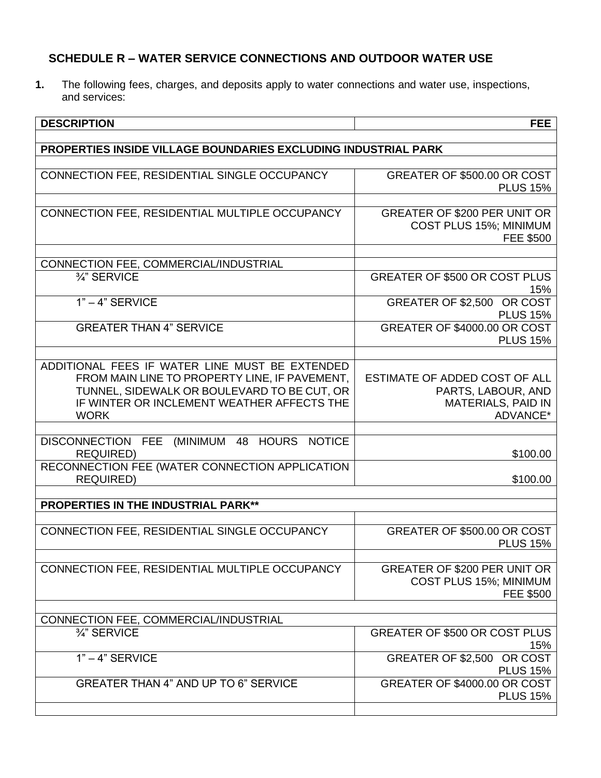# **SCHEDULE R – WATER SERVICE CONNECTIONS AND OUTDOOR WATER USE**

**1.** The following fees, charges, and deposits apply to water connections and water use, inspections, and services:

| <b>DESCRIPTION</b>                                                                                                                                                                                          | <b>FEE</b>                                                                                   |
|-------------------------------------------------------------------------------------------------------------------------------------------------------------------------------------------------------------|----------------------------------------------------------------------------------------------|
| PROPERTIES INSIDE VILLAGE BOUNDARIES EXCLUDING INDUSTRIAL PARK                                                                                                                                              |                                                                                              |
|                                                                                                                                                                                                             |                                                                                              |
| CONNECTION FEE, RESIDENTIAL SINGLE OCCUPANCY                                                                                                                                                                | GREATER OF \$500.00 OR COST<br><b>PLUS 15%</b>                                               |
| CONNECTION FEE, RESIDENTIAL MULTIPLE OCCUPANCY                                                                                                                                                              | <b>GREATER OF \$200 PER UNIT OR</b><br>COST PLUS 15%; MINIMUM<br><b>FEE \$500</b>            |
| CONNECTION FEE, COMMERCIAL/INDUSTRIAL                                                                                                                                                                       |                                                                                              |
| 3/4" SERVICE                                                                                                                                                                                                | <b>GREATER OF \$500 OR COST PLUS</b><br>15%                                                  |
| $1" - 4"$ SERVICE                                                                                                                                                                                           | GREATER OF \$2,500 OR COST<br><b>PLUS 15%</b>                                                |
| <b>GREATER THAN 4" SERVICE</b>                                                                                                                                                                              | GREATER OF \$4000.00 OR COST<br><b>PLUS 15%</b>                                              |
| ADDITIONAL FEES IF WATER LINE MUST BE EXTENDED<br>FROM MAIN LINE TO PROPERTY LINE, IF PAVEMENT,<br>TUNNEL, SIDEWALK OR BOULEVARD TO BE CUT, OR<br>IF WINTER OR INCLEMENT WEATHER AFFECTS THE<br><b>WORK</b> | ESTIMATE OF ADDED COST OF ALL<br>PARTS, LABOUR, AND<br><b>MATERIALS, PAID IN</b><br>ADVANCE* |
| DISCONNECTION FEE<br>(MINIMUM 48 HOURS NOTICE<br><b>REQUIRED)</b>                                                                                                                                           | \$100.00                                                                                     |
| RECONNECTION FEE (WATER CONNECTION APPLICATION<br><b>REQUIRED)</b>                                                                                                                                          | \$100.00                                                                                     |
| <b>PROPERTIES IN THE INDUSTRIAL PARK**</b>                                                                                                                                                                  |                                                                                              |
|                                                                                                                                                                                                             |                                                                                              |
| CONNECTION FEE, RESIDENTIAL SINGLE OCCUPANCY                                                                                                                                                                | GREATER OF \$500.00 OR COST<br><b>PLUS 15%</b>                                               |
| CONNECTION FEE, RESIDENTIAL MULTIPLE OCCUPANCY                                                                                                                                                              | <b>GREATER OF \$200 PER UNIT OR</b><br>COST PLUS 15%; MINIMUM<br><b>FEE \$500</b>            |
| CONNECTION FEE, COMMERCIAL/INDUSTRIAL                                                                                                                                                                       |                                                                                              |
| 3/4" SERVICE                                                                                                                                                                                                | <b>GREATER OF \$500 OR COST PLUS</b><br>15%                                                  |
| $1" - 4"$ SERVICE                                                                                                                                                                                           | GREATER OF \$2,500 OR COST<br><b>PLUS 15%</b>                                                |
| <b>GREATER THAN 4" AND UP TO 6" SERVICE</b>                                                                                                                                                                 | GREATER OF \$4000.00 OR COST<br><b>PLUS 15%</b>                                              |
|                                                                                                                                                                                                             |                                                                                              |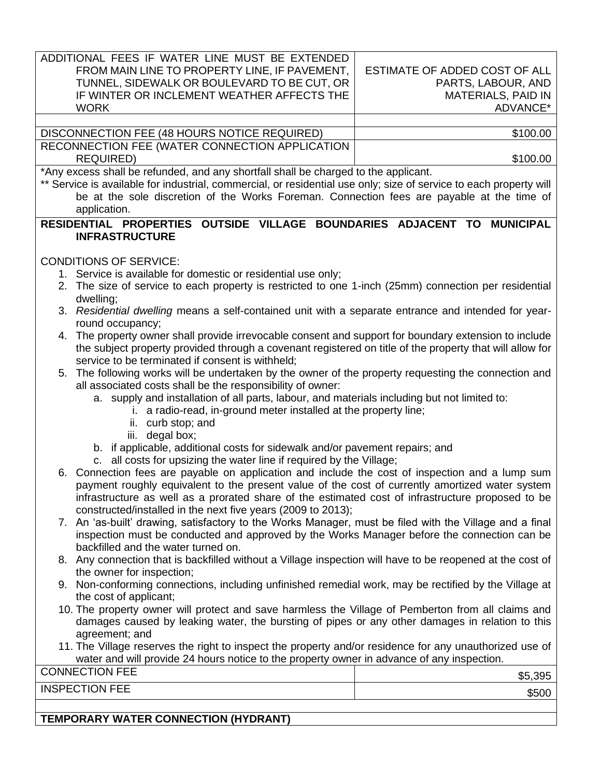| ADDITIONAL FEES IF WATER LINE MUST BE EXTENDED                                                                                                                   |                                                                                                          |  |  |  |
|------------------------------------------------------------------------------------------------------------------------------------------------------------------|----------------------------------------------------------------------------------------------------------|--|--|--|
| FROM MAIN LINE TO PROPERTY LINE, IF PAVEMENT,                                                                                                                    | ESTIMATE OF ADDED COST OF ALL                                                                            |  |  |  |
| TUNNEL, SIDEWALK OR BOULEVARD TO BE CUT, OR                                                                                                                      | PARTS, LABOUR, AND                                                                                       |  |  |  |
| IF WINTER OR INCLEMENT WEATHER AFFECTS THE                                                                                                                       | <b>MATERIALS, PAID IN</b>                                                                                |  |  |  |
| <b>WORK</b>                                                                                                                                                      | ADVANCE*                                                                                                 |  |  |  |
|                                                                                                                                                                  |                                                                                                          |  |  |  |
| DISCONNECTION FEE (48 HOURS NOTICE REQUIRED)                                                                                                                     | \$100.00                                                                                                 |  |  |  |
| RECONNECTION FEE (WATER CONNECTION APPLICATION                                                                                                                   |                                                                                                          |  |  |  |
| <b>REQUIRED)</b><br>*Any excess shall be refunded, and any shortfall shall be charged to the applicant.                                                          | \$100.00                                                                                                 |  |  |  |
| ** Service is available for industrial, commercial, or residential use only; size of service to each property will                                               |                                                                                                          |  |  |  |
| be at the sole discretion of the Works Foreman. Connection fees are payable at the time of                                                                       |                                                                                                          |  |  |  |
| application.                                                                                                                                                     |                                                                                                          |  |  |  |
| RESIDENTIAL PROPERTIES OUTSIDE VILLAGE BOUNDARIES ADJACENT TO MUNICIPAL                                                                                          |                                                                                                          |  |  |  |
| <b>INFRASTRUCTURE</b>                                                                                                                                            |                                                                                                          |  |  |  |
|                                                                                                                                                                  |                                                                                                          |  |  |  |
| <b>CONDITIONS OF SERVICE:</b>                                                                                                                                    |                                                                                                          |  |  |  |
| 1. Service is available for domestic or residential use only;                                                                                                    |                                                                                                          |  |  |  |
| 2. The size of service to each property is restricted to one 1-inch (25mm) connection per residential                                                            |                                                                                                          |  |  |  |
| dwelling;                                                                                                                                                        |                                                                                                          |  |  |  |
| 3. Residential dwelling means a self-contained unit with a separate entrance and intended for year-                                                              |                                                                                                          |  |  |  |
| round occupancy;                                                                                                                                                 |                                                                                                          |  |  |  |
| 4. The property owner shall provide irrevocable consent and support for boundary extension to include                                                            |                                                                                                          |  |  |  |
|                                                                                                                                                                  | the subject property provided through a covenant registered on title of the property that will allow for |  |  |  |
| service to be terminated if consent is withheld;                                                                                                                 |                                                                                                          |  |  |  |
| 5. The following works will be undertaken by the owner of the property requesting the connection and                                                             |                                                                                                          |  |  |  |
| all associated costs shall be the responsibility of owner:                                                                                                       |                                                                                                          |  |  |  |
| a. supply and installation of all parts, labour, and materials including but not limited to:<br>i. a radio-read, in-ground meter installed at the property line; |                                                                                                          |  |  |  |
| ii. curb stop; and                                                                                                                                               |                                                                                                          |  |  |  |
| degal box;<br>iii.                                                                                                                                               |                                                                                                          |  |  |  |
| b. if applicable, additional costs for sidewalk and/or pavement repairs; and                                                                                     |                                                                                                          |  |  |  |
| c. all costs for upsizing the water line if required by the Village;                                                                                             |                                                                                                          |  |  |  |
| 6. Connection fees are payable on application and include the cost of inspection and a lump sum                                                                  |                                                                                                          |  |  |  |
|                                                                                                                                                                  | payment roughly equivalent to the present value of the cost of currently amortized water system          |  |  |  |
| infrastructure as well as a prorated share of the estimated cost of infrastructure proposed to be                                                                |                                                                                                          |  |  |  |
| constructed/installed in the next five years (2009 to 2013);                                                                                                     |                                                                                                          |  |  |  |
| 7. An 'as-built' drawing, satisfactory to the Works Manager, must be filed with the Village and a final                                                          |                                                                                                          |  |  |  |
|                                                                                                                                                                  | inspection must be conducted and approved by the Works Manager before the connection can be              |  |  |  |
| backfilled and the water turned on.                                                                                                                              |                                                                                                          |  |  |  |
| 8. Any connection that is backfilled without a Village inspection will have to be reopened at the cost of                                                        |                                                                                                          |  |  |  |
| the owner for inspection;                                                                                                                                        |                                                                                                          |  |  |  |
| 9. Non-conforming connections, including unfinished remedial work, may be rectified by the Village at                                                            |                                                                                                          |  |  |  |
| the cost of applicant;<br>10. The property owner will protect and save harmless the Village of Pemberton from all claims and                                     |                                                                                                          |  |  |  |
| damages caused by leaking water, the bursting of pipes or any other damages in relation to this                                                                  |                                                                                                          |  |  |  |
| agreement; and                                                                                                                                                   |                                                                                                          |  |  |  |
| 11. The Village reserves the right to inspect the property and/or residence for any unauthorized use of                                                          |                                                                                                          |  |  |  |
| water and will provide 24 hours notice to the property owner in advance of any inspection.                                                                       |                                                                                                          |  |  |  |
| <b>CONNECTION FEE</b>                                                                                                                                            | \$5,395                                                                                                  |  |  |  |
| <b>INSPECTION FEE</b>                                                                                                                                            |                                                                                                          |  |  |  |
|                                                                                                                                                                  | \$500                                                                                                    |  |  |  |
|                                                                                                                                                                  |                                                                                                          |  |  |  |

**TEMPORARY WATER CONNECTION (HYDRANT)**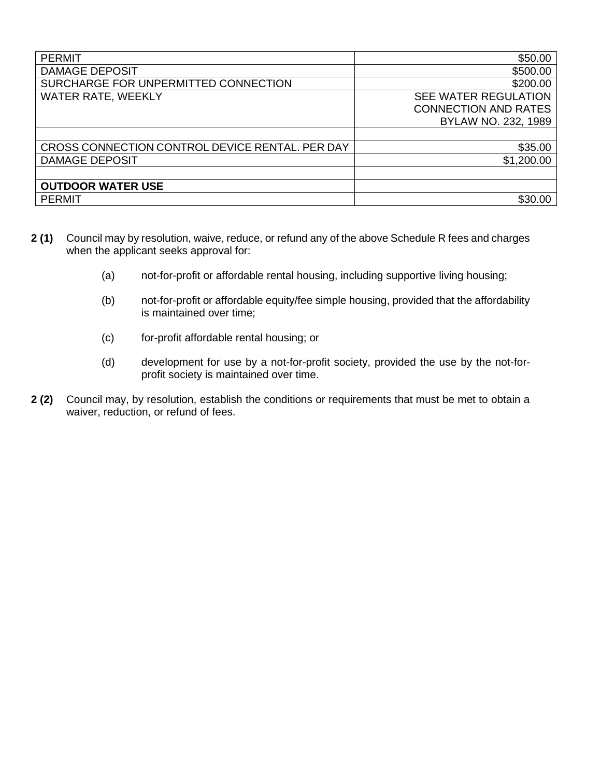| <b>PERMIT</b>                                   | \$50.00                     |
|-------------------------------------------------|-----------------------------|
| <b>DAMAGE DEPOSIT</b>                           | \$500.00                    |
| SURCHARGE FOR UNPERMITTED CONNECTION            | \$200.00                    |
| <b>WATER RATE, WEEKLY</b>                       | SEE WATER REGULATION        |
|                                                 | <b>CONNECTION AND RATES</b> |
|                                                 | BYLAW NO. 232, 1989         |
|                                                 |                             |
| CROSS CONNECTION CONTROL DEVICE RENTAL. PER DAY | \$35.00                     |
| <b>DAMAGE DEPOSIT</b>                           | \$1,200.00                  |
|                                                 |                             |
| <b>OUTDOOR WATER USE</b>                        |                             |
| <b>PERMIT</b>                                   | \$30.00                     |

- **2 (1)** Council may by resolution, waive, reduce, or refund any of the above Schedule R fees and charges when the applicant seeks approval for:
	- (a) not-for-profit or affordable rental housing, including supportive living housing;
	- (b) not-for-profit or affordable equity/fee simple housing, provided that the affordability is maintained over time;
	- (c) for-profit affordable rental housing; or
	- (d) development for use by a not-for-profit society, provided the use by the not-forprofit society is maintained over time.
- **2 (2)** Council may, by resolution, establish the conditions or requirements that must be met to obtain a waiver, reduction, or refund of fees.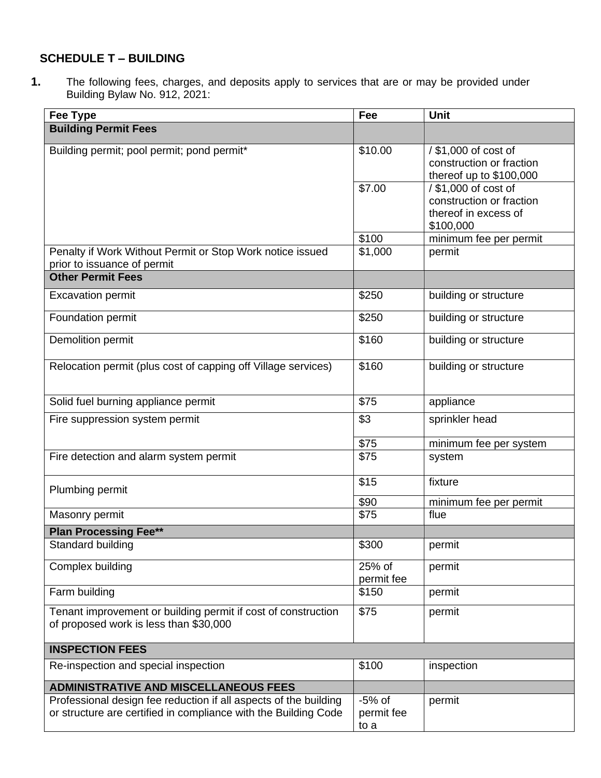# **SCHEDULE T – BUILDING**

**1.** The following fees, charges, and deposits apply to services that are or may be provided under Building Bylaw No. 912, 2021:

| <b>Fee Type</b>                                                  | Fee        | <b>Unit</b>              |
|------------------------------------------------------------------|------------|--------------------------|
| <b>Building Permit Fees</b>                                      |            |                          |
|                                                                  |            |                          |
| Building permit; pool permit; pond permit*                       | \$10.00    | / \$1,000 of cost of     |
|                                                                  |            | construction or fraction |
|                                                                  |            | thereof up to \$100,000  |
|                                                                  | \$7.00     | / \$1,000 of cost of     |
|                                                                  |            | construction or fraction |
|                                                                  |            | thereof in excess of     |
|                                                                  |            | \$100,000                |
|                                                                  | \$100      | minimum fee per permit   |
| Penalty if Work Without Permit or Stop Work notice issued        | \$1,000    | permit                   |
| prior to issuance of permit                                      |            |                          |
| <b>Other Permit Fees</b>                                         |            |                          |
| <b>Excavation permit</b>                                         | \$250      | building or structure    |
|                                                                  |            |                          |
| Foundation permit                                                | \$250      | building or structure    |
|                                                                  |            |                          |
| Demolition permit                                                | \$160      | building or structure    |
|                                                                  |            |                          |
| Relocation permit (plus cost of capping off Village services)    | \$160      | building or structure    |
|                                                                  |            |                          |
| Solid fuel burning appliance permit                              | \$75       | appliance                |
|                                                                  |            |                          |
| Fire suppression system permit                                   | \$3        | sprinkler head           |
|                                                                  | \$75       | minimum fee per system   |
| Fire detection and alarm system permit                           | \$75       | system                   |
|                                                                  |            |                          |
|                                                                  | \$15       | fixture                  |
| Plumbing permit                                                  |            |                          |
|                                                                  | \$90       | minimum fee per permit   |
| Masonry permit                                                   | \$75       | flue                     |
| <b>Plan Processing Fee**</b>                                     |            |                          |
| Standard building                                                | \$300      | permit                   |
|                                                                  |            |                          |
| Complex building                                                 | 25% of     | permit                   |
|                                                                  | permit fee |                          |
| Farm building                                                    | \$150      | permit                   |
| Tenant improvement or building permit if cost of construction    | \$75       | permit                   |
| of proposed work is less than \$30,000                           |            |                          |
|                                                                  |            |                          |
| <b>INSPECTION FEES</b>                                           |            |                          |
| Re-inspection and special inspection                             | \$100      | inspection               |
|                                                                  |            |                          |
| <b>ADMINISTRATIVE AND MISCELLANEOUS FEES</b>                     |            |                          |
| Professional design fee reduction if all aspects of the building | $-5%$ of   | permit                   |
| or structure are certified in compliance with the Building Code  | permit fee |                          |
|                                                                  | to a       |                          |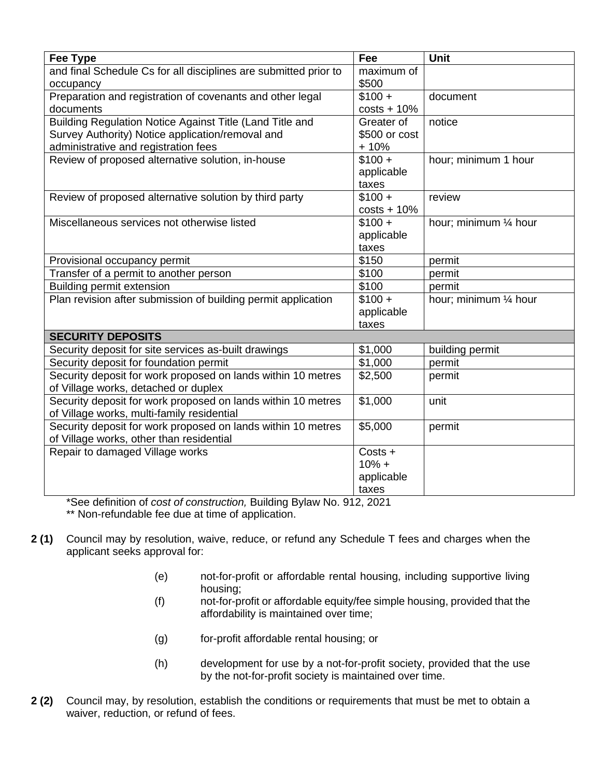| Fee Type                                                         | Fee           | <b>Unit</b>            |
|------------------------------------------------------------------|---------------|------------------------|
| and final Schedule Cs for all disciplines are submitted prior to | maximum of    |                        |
| occupancy                                                        | \$500         |                        |
| Preparation and registration of covenants and other legal        | $$100 +$      | document               |
| documents                                                        | $costs + 10%$ |                        |
| Building Regulation Notice Against Title (Land Title and         | Greater of    | notice                 |
| Survey Authority) Notice application/removal and                 | \$500 or cost |                        |
| administrative and registration fees                             | $+10%$        |                        |
| Review of proposed alternative solution, in-house                | $$100 +$      | hour; minimum 1 hour   |
|                                                                  | applicable    |                        |
|                                                                  | taxes         |                        |
| Review of proposed alternative solution by third party           | $$100 +$      | review                 |
|                                                                  | $costs + 10%$ |                        |
| Miscellaneous services not otherwise listed                      | $$100 +$      | hour; minimum 1/4 hour |
|                                                                  | applicable    |                        |
|                                                                  | taxes         |                        |
| Provisional occupancy permit                                     | \$150         | permit                 |
| Transfer of a permit to another person                           | \$100         | permit                 |
| Building permit extension                                        | \$100         | permit                 |
| Plan revision after submission of building permit application    | $$100 +$      | hour; minimum 1/4 hour |
|                                                                  | applicable    |                        |
|                                                                  | taxes         |                        |
| <b>SECURITY DEPOSITS</b>                                         |               |                        |
| Security deposit for site services as-built drawings             | \$1,000       | building permit        |
| Security deposit for foundation permit                           | \$1,000       | permit                 |
| Security deposit for work proposed on lands within 10 metres     | \$2,500       | permit                 |
| of Village works, detached or duplex                             |               |                        |
| Security deposit for work proposed on lands within 10 metres     | \$1,000       | unit                   |
| of Village works, multi-family residential                       |               |                        |
| Security deposit for work proposed on lands within 10 metres     | \$5,000       | permit                 |
| of Village works, other than residential                         |               |                        |
| Repair to damaged Village works                                  | Costs +       |                        |
|                                                                  | $10% +$       |                        |
|                                                                  | applicable    |                        |
|                                                                  | taxes         |                        |

\*See definition of *cost of construction,* Building Bylaw No. 912, 2021 \*\* Non-refundable fee due at time of application.

- **2 (1)** Council may by resolution, waive, reduce, or refund any Schedule T fees and charges when the applicant seeks approval for:
	- (e) not-for-profit or affordable rental housing, including supportive living housing;
	- (f) not-for-profit or affordable equity/fee simple housing, provided that the affordability is maintained over time;
	- (g) for-profit affordable rental housing; or
	- (h) development for use by a not-for-profit society, provided that the use by the not-for-profit society is maintained over time.
- **2 (2)** Council may, by resolution, establish the conditions or requirements that must be met to obtain a waiver, reduction, or refund of fees.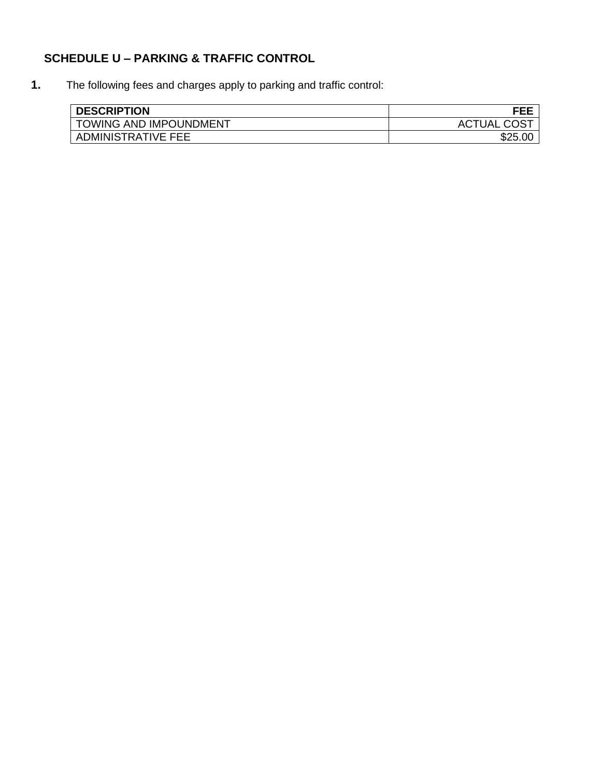# **SCHEDULE U – PARKING & TRAFFIC CONTROL**

**1.** The following fees and charges apply to parking and traffic control:

| <b>DESCRIPTION</b>            | FEE                |
|-------------------------------|--------------------|
| <b>TOWING AND IMPOUNDMENT</b> | <b>ACTUAL COST</b> |
| ADMINISTRATIVE FEE            |                    |